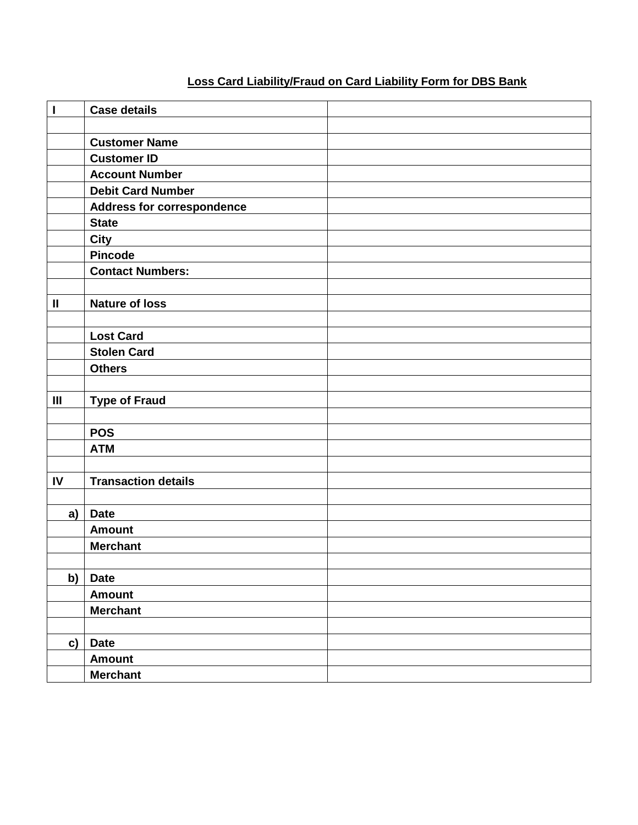## **Loss Card Liability/Fraud on Card Liability Form for DBS Bank**

| $\mathbf{I}$   | <b>Case details</b>               |  |
|----------------|-----------------------------------|--|
|                |                                   |  |
|                | <b>Customer Name</b>              |  |
|                | <b>Customer ID</b>                |  |
|                | <b>Account Number</b>             |  |
|                | <b>Debit Card Number</b>          |  |
|                | <b>Address for correspondence</b> |  |
|                | <b>State</b>                      |  |
|                | <b>City</b>                       |  |
|                | <b>Pincode</b>                    |  |
|                | <b>Contact Numbers:</b>           |  |
|                |                                   |  |
| $\mathbf{I}$   | <b>Nature of loss</b>             |  |
|                |                                   |  |
|                | <b>Lost Card</b>                  |  |
|                | <b>Stolen Card</b>                |  |
|                | <b>Others</b>                     |  |
|                |                                   |  |
| $\mathbf{III}$ | <b>Type of Fraud</b>              |  |
|                |                                   |  |
|                | <b>POS</b>                        |  |
|                | <b>ATM</b>                        |  |
|                |                                   |  |
| IV             | <b>Transaction details</b>        |  |
|                |                                   |  |
| a)             | <b>Date</b>                       |  |
|                | <b>Amount</b>                     |  |
|                | <b>Merchant</b>                   |  |
|                |                                   |  |
| b)             | <b>Date</b>                       |  |
|                | <b>Amount</b>                     |  |
|                | <b>Merchant</b>                   |  |
|                |                                   |  |
| c)             | <b>Date</b>                       |  |
|                | <b>Amount</b>                     |  |
|                | <b>Merchant</b>                   |  |